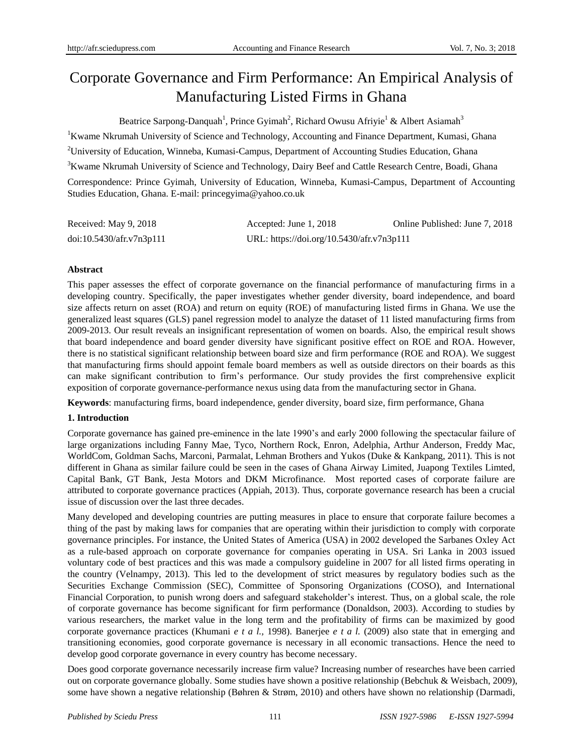# Corporate Governance and Firm Performance: An Empirical Analysis of Manufacturing Listed Firms in Ghana

Beatrice Sarpong-Danquah<sup>1</sup>, Prince Gyimah<sup>2</sup>, Richard Owusu Afriyie<sup>1</sup> & Albert Asiamah<sup>3</sup>

<sup>1</sup>Kwame Nkrumah University of Science and Technology, Accounting and Finance Department, Kumasi, Ghana <sup>2</sup>University of Education, Winneba, Kumasi-Campus, Department of Accounting Studies Education, Ghana <sup>3</sup>Kwame Nkrumah University of Science and Technology, Dairy Beef and Cattle Research Centre, Boadi, Ghana Correspondence: Prince Gyimah, University of Education, Winneba, Kumasi-Campus, Department of Accounting Studies Education, Ghana. E-mail: [princegyima@yahoo.co.uk](mailto:princegyima@yahoo.co.uk)

| Received: May 9, 2018    | Accepted: June 1, 2018                    | Online Published: June 7, 2018 |
|--------------------------|-------------------------------------------|--------------------------------|
| doi:10.5430/afr.v7n3p111 | URL: https://doi.org/10.5430/afr.v7n3p111 |                                |

# **Abstract**

This paper assesses the effect of corporate governance on the financial performance of manufacturing firms in a developing country. Specifically, the paper investigates whether gender diversity, board independence, and board size affects return on asset (ROA) and return on equity (ROE) of manufacturing listed firms in Ghana. We use the generalized least squares (GLS) panel regression model to analyze the dataset of 11 listed manufacturing firms from 2009-2013. Our result reveals an insignificant representation of women on boards. Also, the empirical result shows that board independence and board gender diversity have significant positive effect on ROE and ROA. However, there is no statistical significant relationship between board size and firm performance (ROE and ROA). We suggest that manufacturing firms should appoint female board members as well as outside directors on their boards as this can make significant contribution to firm's performance. Our study provides the first comprehensive explicit exposition of corporate governance-performance nexus using data from the manufacturing sector in Ghana.

**Keywords**: manufacturing firms, board independence, gender diversity, board size, firm performance, Ghana

# **1. Introduction**

Corporate governance has gained pre-eminence in the late 1990's and early 2000 following the spectacular failure of large organizations including Fanny Mae, Tyco, Northern Rock, Enron, Adelphia, Arthur Anderson, Freddy Mac, WorldCom, Goldman Sachs, Marconi, Parmalat, Lehman Brothers and Yukos (Duke & Kankpang, 2011). This is not different in Ghana as similar failure could be seen in the cases of Ghana Airway Limited, Juapong Textiles Limted, Capital Bank, GT Bank, Jesta Motors and DKM Microfinance. Most reported cases of corporate failure are attributed to corporate governance practices (Appiah, 2013). Thus, corporate governance research has been a crucial issue of discussion over the last three decades.

Many developed and developing countries are putting measures in place to ensure that corporate failure becomes a thing of the past by making laws for companies that are operating within their jurisdiction to comply with corporate governance principles. For instance, the United States of America (USA) in 2002 developed the Sarbanes Oxley Act as a rule-based approach on corporate governance for companies operating in USA. Sri Lanka in 2003 issued voluntary code of best practices and this was made a compulsory guideline in 2007 for all listed firms operating in the country (Velnampy, 2013). This led to the development of strict measures by regulatory bodies such as the Securities Exchange Commission (SEC), Committee of Sponsoring Organizations (COSO), and International Financial Corporation, to punish wrong doers and safeguard stakeholder's interest. Thus, on a global scale, the role of corporate governance has become significant for firm performance (Donaldson, 2003). According to studies by various researchers, the market value in the long term and the profitability of firms can be maximized by good corporate governance practices (Khumani *e t a l.,* 1998). Banerjee *e t a l.* (2009) also state that in emerging and transitioning economies, good corporate governance is necessary in all economic transactions. Hence the need to develop good corporate governance in every country has become necessary.

Does good corporate governance necessarily increase firm value? Increasing number of researches have been carried out on corporate governance globally. Some studies have shown a positive relationship (Bebchuk & Weisbach, 2009), some have shown a negative relationship (Bøhren & Strøm, 2010) and others have shown no relationship (Darmadi,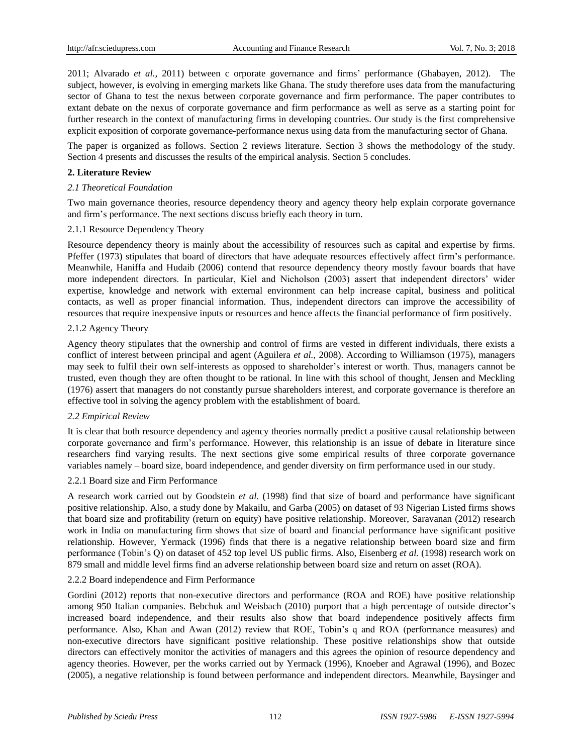2011; Alvarado *et al.,* 2011) between c orporate governance and firms' performance (Ghabayen, 2012). The subject, however, is evolving in emerging markets like Ghana. The study therefore uses data from the manufacturing sector of Ghana to test the nexus between corporate governance and firm performance. The paper contributes to extant debate on the nexus of corporate governance and firm performance as well as serve as a starting point for further research in the context of manufacturing firms in developing countries. Our study is the first comprehensive explicit exposition of corporate governance-performance nexus using data from the manufacturing sector of Ghana.

The paper is organized as follows. Section 2 reviews literature. Section 3 shows the methodology of the study. Section 4 presents and discusses the results of the empirical analysis. Section 5 concludes.

## **2. Literature Review**

### *2.1 Theoretical Foundation*

Two main governance theories, resource dependency theory and agency theory help explain corporate governance and firm's performance. The next sections discuss briefly each theory in turn.

#### 2.1.1 Resource Dependency Theory

Resource dependency theory is mainly about the accessibility of resources such as capital and expertise by firms. Pfeffer (1973) stipulates that board of directors that have adequate resources effectively affect firm's performance. Meanwhile, Haniffa and Hudaib (2006) contend that resource dependency theory mostly favour boards that have more independent directors. In particular, Kiel and Nicholson (2003) assert that independent directors' wider expertise, knowledge and network with external environment can help increase capital, business and political contacts, as well as proper financial information. Thus, independent directors can improve the accessibility of resources that require inexpensive inputs or resources and hence affects the financial performance of firm positively.

## 2.1.2 Agency Theory

Agency theory stipulates that the ownership and control of firms are vested in different individuals, there exists a conflict of interest between principal and agent (Aguilera *et al.,* 2008). According to Williamson (1975), managers may seek to fulfil their own self-interests as opposed to shareholder's interest or worth. Thus, managers cannot be trusted, even though they are often thought to be rational. In line with this school of thought, Jensen and Meckling (1976) assert that managers do not constantly pursue shareholders interest, and corporate governance is therefore an effective tool in solving the agency problem with the establishment of board.

#### *2.2 Empirical Review*

It is clear that both resource dependency and agency theories normally predict a positive causal relationship between corporate governance and firm's performance. However, this relationship is an issue of debate in literature since researchers find varying results. The next sections give some empirical results of three corporate governance variables namely – board size, board independence, and gender diversity on firm performance used in our study.

#### 2.2.1 Board size and Firm Performance

A research work carried out by Goodstein *et al.* (1998) find that size of board and performance have significant positive relationship. Also, a study done by Makailu, and Garba (2005) on dataset of 93 Nigerian Listed firms shows that board size and profitability (return on equity) have positive relationship. Moreover, Saravanan (2012) research work in India on manufacturing firm shows that size of board and financial performance have significant positive relationship. However, Yermack (1996) finds that there is a negative relationship between board size and firm performance (Tobin's Q) on dataset of 452 top level US public firms. Also, Eisenberg *et al.* (1998) research work on 879 small and middle level firms find an adverse relationship between board size and return on asset (ROA).

#### 2.2.2 Board independence and Firm Performance

Gordini (2012) reports that non-executive directors and performance (ROA and ROE) have positive relationship among 950 Italian companies. Bebchuk and Weisbach (2010) purport that a high percentage of outside director's increased board independence, and their results also show that board independence positively affects firm performance. Also, Khan and Awan (2012) review that ROE, Tobin's q and ROA (performance measures) and non-executive directors have significant positive relationship. These positive relationships show that outside directors can effectively monitor the activities of managers and this agrees the opinion of resource dependency and agency theories. However, per the works carried out by Yermack (1996), Knoeber and Agrawal (1996), and Bozec (2005), a negative relationship is found between performance and independent directors. Meanwhile, Baysinger and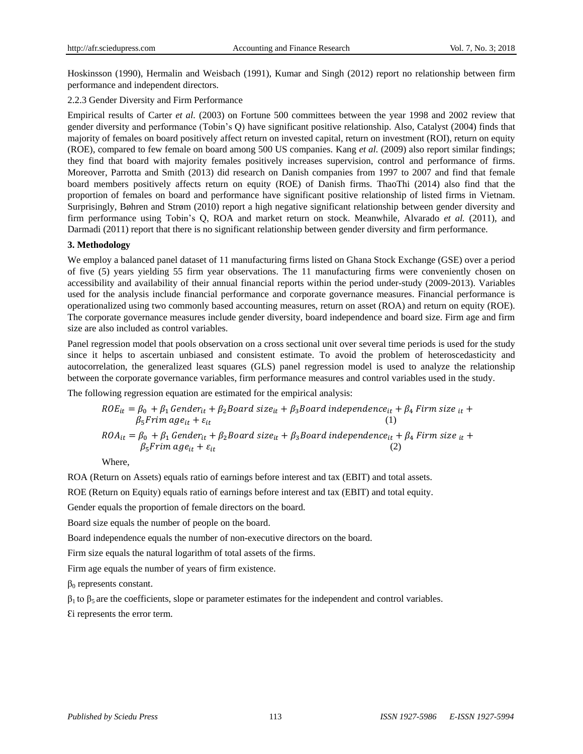Hoskinsson (1990), Hermalin and Weisbach (1991), Kumar and Singh (2012) report no relationship between firm performance and independent directors.

### 2.2.3 Gender Diversity and Firm Performance

Empirical results of Carter *et al.* (2003) on Fortune 500 committees between the year 1998 and 2002 review that gender diversity and performance (Tobin's Q) have significant positive relationship. Also, Catalyst (2004) finds that majority of females on board positively affect return on invested capital, return on investment (ROI), return on equity (ROE), compared to few female on board among 500 US companies. Kang *et al.* (2009) also report similar findings; they find that board with majority females positively increases supervision, control and performance of firms. Moreover, Parrotta and Smith (2013) did research on Danish companies from 1997 to 2007 and find that female board members positively affects return on equity (ROE) of Danish firms. ThaoThi (2014) also find that the proportion of females on board and performance have significant positive relationship of listed firms in Vietnam. Surprisingly, Bøhren and Strøm (2010) report a high negative significant relationship between gender diversity and firm performance using Tobin's Q, ROA and market return on stock. Meanwhile, Alvarado *et al.* (2011), and Darmadi (2011) report that there is no significant relationship between gender diversity and firm performance.

#### **3. Methodology**

We employ a balanced panel dataset of 11 manufacturing firms listed on Ghana Stock Exchange (GSE) over a period of five (5) years yielding 55 firm year observations. The 11 manufacturing firms were conveniently chosen on accessibility and availability of their annual financial reports within the period under-study (2009-2013). Variables used for the analysis include financial performance and corporate governance measures. Financial performance is operationalized using two commonly based accounting measures, return on asset (ROA) and return on equity (ROE). The corporate governance measures include gender diversity, board independence and board size. Firm age and firm size are also included as control variables.

Panel regression model that pools observation on a cross sectional unit over several time periods is used for the study since it helps to ascertain unbiased and consistent estimate. To avoid the problem of heteroscedasticity and autocorrelation, the generalized least squares (GLS) panel regression model is used to analyze the relationship between the corporate governance variables, firm performance measures and control variables used in the study.

The following regression equation are estimated for the empirical analysis:

$$
ROE_{it} = \beta_0 + \beta_1 \text{Gender}_{it} + \beta_2 \text{Board size}_{it} + \beta_3 \text{Board independence}_{it} + \beta_4 \text{ Firm size}_{it} +
$$
  
\n
$$
\beta_5 \text{Prim age}_{it} + \varepsilon_{it}
$$
  
\n
$$
ROA_{it} = \beta_0 + \beta_1 \text{Gender}_{it} + \beta_2 \text{Board size}_{it} + \beta_3 \text{Board independence}_{it} + \beta_4 \text{ Firm size}_{it} +
$$
  
\n
$$
\beta_5 \text{Frim age}_{it} + \varepsilon_{it}
$$
  
\n(2)

Where,

ROA (Return on Assets) equals ratio of earnings before interest and tax (EBIT) and total assets.

ROE (Return on Equity) equals ratio of earnings before interest and tax (EBIT) and total equity.

Gender equals the proportion of female directors on the board.

Board size equals the number of people on the board.

Board independence equals the number of non-executive directors on the board.

Firm size equals the natural logarithm of total assets of the firms.

Firm age equals the number of years of firm existence.

 $β<sub>0</sub>$  represents constant.

 $β<sub>1</sub>$  to  $β<sub>5</sub>$  are the coefficients, slope or parameter estimates for the independent and control variables.

Ei represents the error term.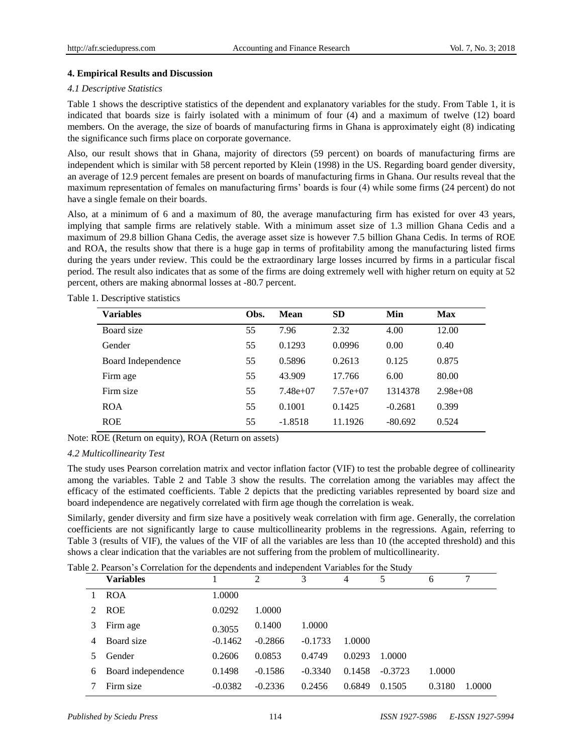#### **4. Empirical Results and Discussion**

#### *4.1 Descriptive Statistics*

Table 1 shows the descriptive statistics of the dependent and explanatory variables for the study. From Table 1, it is indicated that boards size is fairly isolated with a minimum of four (4) and a maximum of twelve (12) board members. On the average, the size of boards of manufacturing firms in Ghana is approximately eight (8) indicating the significance such firms place on corporate governance.

Also, our result shows that in Ghana, majority of directors (59 percent) on boards of manufacturing firms are independent which is similar with 58 percent reported by Klein (1998) in the US. Regarding board gender diversity, an average of 12.9 percent females are present on boards of manufacturing firms in Ghana. Our results reveal that the maximum representation of females on manufacturing firms' boards is four (4) while some firms (24 percent) do not have a single female on their boards.

Also, at a minimum of 6 and a maximum of 80, the average manufacturing firm has existed for over 43 years, implying that sample firms are relatively stable. With a minimum asset size of 1.3 million Ghana Cedis and a maximum of 29.8 billion Ghana Cedis, the average asset size is however 7.5 billion Ghana Cedis. In terms of ROE and ROA, the results show that there is a huge gap in terms of profitability among the manufacturing listed firms during the years under review. This could be the extraordinary large losses incurred by firms in a particular fiscal period. The result also indicates that as some of the firms are doing extremely well with higher return on equity at 52 percent, others are making abnormal losses at -80.7 percent.

| <b>Variables</b>   | Obs. | <b>Mean</b> | <b>SD</b>  | Min       | <b>Max</b>  |
|--------------------|------|-------------|------------|-----------|-------------|
| Board size         | 55   | 7.96        | 2.32       | 4.00      | 12.00       |
| Gender             | 55   | 0.1293      | 0.0996     | 0.00      | 0.40        |
| Board Independence | 55   | 0.5896      | 0.2613     | 0.125     | 0.875       |
| Firm age           | 55   | 43.909      | 17.766     | 6.00      | 80.00       |
| Firm size          | 55   | $7.48e+07$  | $7.57e+07$ | 1314378   | $2.98e+0.8$ |
| <b>ROA</b>         | 55   | 0.1001      | 0.1425     | $-0.2681$ | 0.399       |
| <b>ROE</b>         | 55   | $-1.8518$   | 11.1926    | $-80.692$ | 0.524       |

Table 1. Descriptive statistics

Note: ROE (Return on equity), ROA (Return on assets)

# *4.2 Multicollinearity Test*

The study uses Pearson correlation matrix and vector inflation factor (VIF) to test the probable degree of collinearity among the variables. Table 2 and Table 3 show the results. The correlation among the variables may affect the efficacy of the estimated coefficients. Table 2 depicts that the predicting variables represented by board size and board independence are negatively correlated with firm age though the correlation is weak.

Similarly, gender diversity and firm size have a positively weak correlation with firm age. Generally, the correlation coefficients are not significantly large to cause multicollinearity problems in the regressions. Again, referring to Table 3 (results of VIF), the values of the VIF of all the variables are less than 10 (the accepted threshold) and this shows a clear indication that the variables are not suffering from the problem of multicollinearity.

Table 2. Pearson's Correlation for the dependents and independent Variables for the Study

|                       | <b>Variables</b>   |           | 2         | 3         | 4      | 5         | 6      |        |
|-----------------------|--------------------|-----------|-----------|-----------|--------|-----------|--------|--------|
|                       | <b>ROA</b>         | 1.0000    |           |           |        |           |        |        |
| $\mathcal{D}_{\cdot}$ | <b>ROE</b>         | 0.0292    | 1.0000    |           |        |           |        |        |
| 3                     | Firm age           | 0.3055    | 0.1400    | 1.0000    |        |           |        |        |
| 4                     | Board size         | $-0.1462$ | $-0.2866$ | $-0.1733$ | 1.0000 |           |        |        |
|                       | Gender             | 0.2606    | 0.0853    | 0.4749    | 0.0293 | 1.0000    |        |        |
| 6                     | Board independence | 0.1498    | $-0.1586$ | $-0.3340$ | 0.1458 | $-0.3723$ | 1.0000 |        |
|                       | Firm size          | $-0.0382$ | $-0.2336$ | 0.2456    | 0.6849 | 0.1505    | 0.3180 | 1.0000 |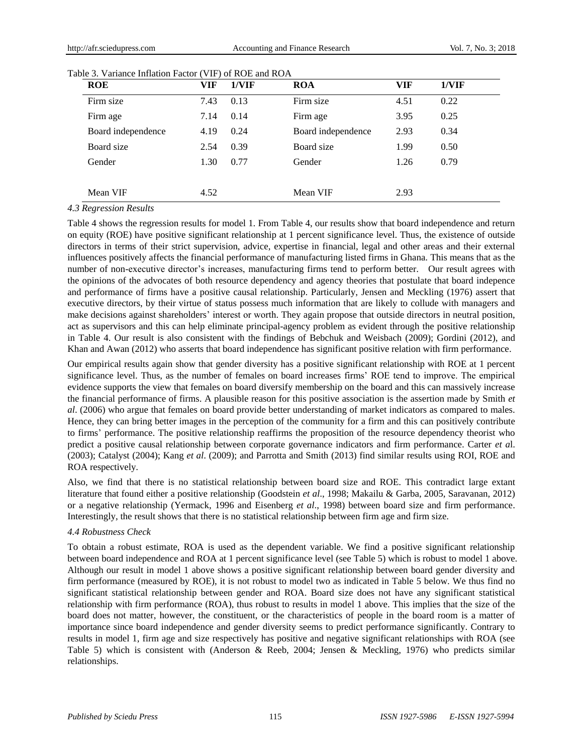| <b>ROE</b>         | VIF  | 1/VIF | <b>ROA</b>         | VIF  | 1/VIF |
|--------------------|------|-------|--------------------|------|-------|
| Firm size          | 7.43 | 0.13  | Firm size          | 4.51 | 0.22  |
| Firm age           | 7.14 | 0.14  | Firm age           | 3.95 | 0.25  |
| Board independence | 4.19 | 0.24  | Board independence | 2.93 | 0.34  |
| Board size         | 2.54 | 0.39  | Board size         | 1.99 | 0.50  |
| Gender             | 1.30 | 0.77  | Gender             | 1.26 | 0.79  |
|                    |      |       |                    |      |       |
| Mean VIF           | 4.52 |       | Mean VIF           | 2.93 |       |

Table 3. Variance Inflation Factor (VIF) of ROE and ROA

#### *4.3 Regression Results*

Table 4 shows the regression results for model 1. From Table 4, our results show that board independence and return on equity (ROE) have positive significant relationship at 1 percent significance level. Thus, the existence of outside directors in terms of their strict supervision, advice, expertise in financial, legal and other areas and their external influences positively affects the financial performance of manufacturing listed firms in Ghana. This means that as the number of non-executive director's increases, manufacturing firms tend to perform better. Our result agrees with the opinions of the advocates of both resource dependency and agency theories that postulate that board indepence and performance of firms have a positive causal relationship. Particularly, Jensen and Meckling (1976) assert that executive directors, by their virtue of status possess much information that are likely to collude with managers and make decisions against shareholders' interest or worth. They again propose that outside directors in neutral position, act as supervisors and this can help eliminate principal-agency problem as evident through the positive relationship in Table 4. Our result is also consistent with the findings of Bebchuk and Weisbach (2009); Gordini (2012), and Khan and Awan (2012) who asserts that board independence has significant positive relation with firm performance.

Our empirical results again show that gender diversity has a positive significant relationship with ROE at 1 percent significance level. Thus, as the number of females on board increases firms' ROE tend to improve. The empirical evidence supports the view that females on board diversify membership on the board and this can massively increase the financial performance of firms. A plausible reason for this positive association is the assertion made by Smith *et al*. (2006) who argue that females on board provide better understanding of market indicators as compared to males. Hence, they can bring better images in the perception of the community for a firm and this can positively contribute to firms' performance. The positive relationship reaffirms the proposition of the resource dependency theorist who predict a positive causal relationship between corporate governance indicators and firm performance. Carter *et a*l. (2003); Catalyst (2004); Kang *et al*. (2009); and Parrotta and Smith (2013) find similar results using ROI, ROE and ROA respectively.

Also, we find that there is no statistical relationship between board size and ROE. This contradict large extant literature that found either a positive relationship (Goodstein *et al*., 1998; Makailu & Garba, 2005, Saravanan, 2012) or a negative relationship (Yermack, 1996 and Eisenberg *et al*., 1998) between board size and firm performance. Interestingly, the result shows that there is no statistical relationship between firm age and firm size.

#### *4.4 Robustness Check*

To obtain a robust estimate, ROA is used as the dependent variable. We find a positive significant relationship between board independence and ROA at 1 percent significance level (see Table 5) which is robust to model 1 above. Although our result in model 1 above shows a positive significant relationship between board gender diversity and firm performance (measured by ROE), it is not robust to model two as indicated in Table 5 below. We thus find no significant statistical relationship between gender and ROA. Board size does not have any significant statistical relationship with firm performance (ROA), thus robust to results in model 1 above. This implies that the size of the board does not matter, however, the constituent, or the characteristics of people in the board room is a matter of importance since board independence and gender diversity seems to predict performance significantly. Contrary to results in model 1, firm age and size respectively has positive and negative significant relationships with ROA (see Table 5) which is consistent with (Anderson & Reeb, 2004; Jensen & Meckling, 1976) who predicts similar relationships.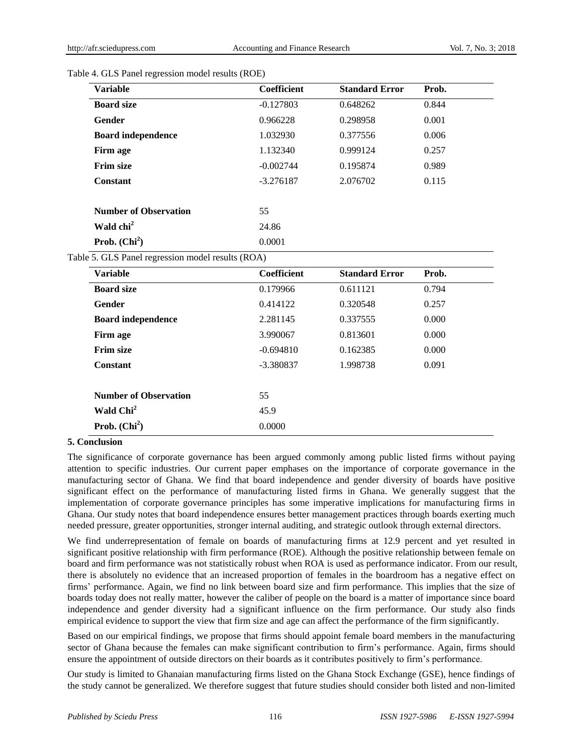#### Table 4. GLS Panel regression model results (ROE)

| <b>Variable</b>              | <b>Coefficient</b> | <b>Standard Error</b> | Prob. |
|------------------------------|--------------------|-----------------------|-------|
| <b>Board size</b>            | $-0.127803$        | 0.648262              | 0.844 |
| Gender                       | 0.966228           | 0.298958              | 0.001 |
| <b>Board independence</b>    | 1.032930           | 0.377556              | 0.006 |
| Firm age                     | 1.132340           | 0.999124              | 0.257 |
| <b>Frim size</b>             | $-0.002744$        | 0.195874              | 0.989 |
| <b>Constant</b>              | $-3.276187$        | 2.076702              | 0.115 |
|                              |                    |                       |       |
| <b>Number of Observation</b> | 55                 |                       |       |
| Wald chi <sup>2</sup>        | 24.86              |                       |       |
| Prob. $(Chi^2)$              | 0.0001             |                       |       |

Table 5. GLS Panel regression model results (ROA)

| <b>Variable</b>              | Coefficient | <b>Standard Error</b> | Prob. |
|------------------------------|-------------|-----------------------|-------|
| <b>Board size</b>            | 0.179966    | 0.611121              | 0.794 |
| Gender                       | 0.414122    | 0.320548              | 0.257 |
| <b>Board independence</b>    | 2.281145    | 0.337555              | 0.000 |
| Firm age                     | 3.990067    | 0.813601              | 0.000 |
| <b>Frim size</b>             | $-0.694810$ | 0.162385              | 0.000 |
| <b>Constant</b>              | $-3.380837$ | 1.998738              | 0.091 |
| <b>Number of Observation</b> | 55          |                       |       |
| Wald Chi <sup>2</sup>        | 45.9        |                       |       |
| Prob. $(Chi2)$               | 0.0000      |                       |       |

#### **5. Conclusion**

The significance of corporate governance has been argued commonly among public listed firms without paying attention to specific industries. Our current paper emphases on the importance of corporate governance in the manufacturing sector of Ghana. We find that board independence and gender diversity of boards have positive significant effect on the performance of manufacturing listed firms in Ghana. We generally suggest that the implementation of corporate governance principles has some imperative implications for manufacturing firms in Ghana. Our study notes that board independence ensures better management practices through boards exerting much needed pressure, greater opportunities, stronger internal auditing, and strategic outlook through external directors.

We find underrepresentation of female on boards of manufacturing firms at 12.9 percent and yet resulted in significant positive relationship with firm performance (ROE). Although the positive relationship between female on board and firm performance was not statistically robust when ROA is used as performance indicator. From our result, there is absolutely no evidence that an increased proportion of females in the boardroom has a negative effect on firms' performance. Again, we find no link between board size and firm performance. This implies that the size of boards today does not really matter, however the caliber of people on the board is a matter of importance since board independence and gender diversity had a significant influence on the firm performance. Our study also finds empirical evidence to support the view that firm size and age can affect the performance of the firm significantly.

Based on our empirical findings, we propose that firms should appoint female board members in the manufacturing sector of Ghana because the females can make significant contribution to firm's performance. Again, firms should ensure the appointment of outside directors on their boards as it contributes positively to firm's performance.

Our study is limited to Ghanaian manufacturing firms listed on the Ghana Stock Exchange (GSE), hence findings of the study cannot be generalized. We therefore suggest that future studies should consider both listed and non-limited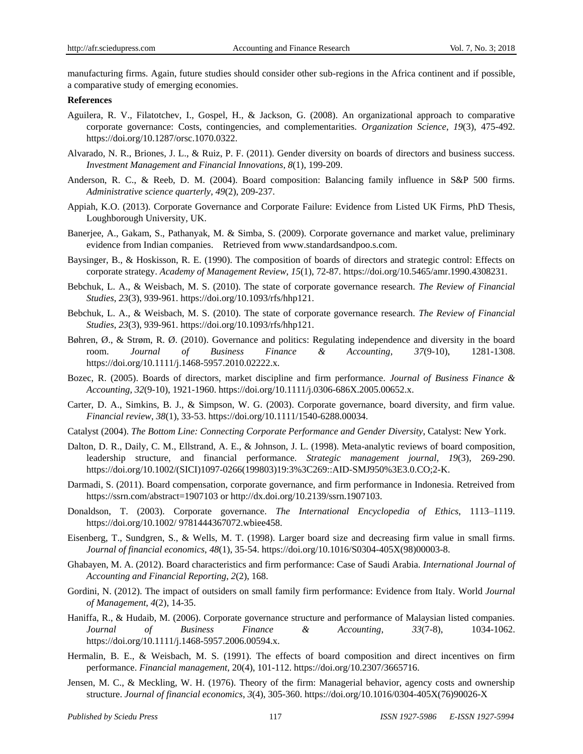manufacturing firms. Again, future studies should consider other sub-regions in the Africa continent and if possible, a comparative study of emerging economies.

#### **References**

- Aguilera, R. V., Filatotchev, I., Gospel, H., & Jackson, G. (2008). An organizational approach to comparative corporate governance: Costs, contingencies, and complementarities. *Organization Science*, *19*(3), 475-492. [https://doi.org/10.1287/orsc.1070.0322.](https://doi.org/10.1287/orsc.1070.0322)
- Alvarado, N. R., Briones, J. L., & Ruiz, P. F. (2011). Gender diversity on boards of directors and business success. *Investment Management and Financial Innovations*, *8*(1), 199-209.
- Anderson, R. C., & Reeb, D. M. (2004). Board composition: Balancing family influence in S&P 500 firms. *Administrative science quarterly*, *49*(2), 209-237.
- Appiah, K.O. (2013). Corporate Governance and Corporate Failure: Evidence from Listed UK Firms, PhD Thesis, Loughborough University, UK.
- Banerjee, A., Gakam, S., Pathanyak, M. & Simba, S. (2009). Corporate governance and market value, preliminary evidence from Indian companies. Retrieved fro[m www.standardsandpoo.s.com.](http://www.standardsandpoo.s.com/)
- Baysinger, B., & Hoskisson, R. E. (1990). The composition of boards of directors and strategic control: Effects on corporate strategy. *Academy of Management Review*, *15*(1), 72-87. [https://doi.org/10.5465/amr.1990.4308231.](https://doi.org/10.5465/amr.1990.4308231)
- Bebchuk, L. A., & Weisbach, M. S. (2010). The state of corporate governance research. *The Review of Financial Studies*, *23*(3), 939-961. https://doi.org/10.1093/rfs/hhp121.
- Bebchuk, L. A., & Weisbach, M. S. (2010). The state of corporate governance research. *The Review of Financial Studies*, *23*(3), 939-961. [https://doi.org/10.1093/rfs/hhp121.](https://doi.org/10.1093/rfs/hhp121)
- Bøhren, Ø., & Strøm, R. Ø. (2010). Governance and politics: Regulating independence and diversity in the board room. *Journal of Business Finance & Accounting*, *37*(9-10), 1281-1308. https://doi.org/10.1111/j.1468-5957.2010.02222.x.
- Bozec, R. (2005). Boards of directors, market discipline and firm performance. *Journal of Business Finance & Accounting*, *32*(9-10), 1921-1960. https://doi.org/10.1111/j.0306-686X.2005.00652.x.
- Carter, D. A., Simkins, B. J., & Simpson, W. G. (2003). Corporate governance, board diversity, and firm value. *Financial review*, *38*(1), 33-53. https://doi.org/10.1111/1540-6288.00034.
- Catalyst (2004). *The Bottom Line: Connecting Corporate Performance and Gender Diversity*, Catalyst: New York.
- Dalton, D. R., Daily, C. M., Ellstrand, A. E., & Johnson, J. L. (1998). Meta-analytic reviews of board composition, leadership structure, and financial performance. *Strategic management journal*, *19*(3), 269-290. [https://doi.org/10.1002/\(SICI\)1097-0266\(199803\)19:3%3C269::AID-SMJ950%3E3.0.CO;2-K.](https://doi.org/10.1002/(SICI)1097-0266(199803)19:3%3C269::AID-SMJ950%3E3.0.CO;2-K)
- Darmadi, S. (2011). Board compensation, corporate governance, and firm performance in Indonesia. Retreived from <https://ssrn.com/abstract=1907103> or [http://dx.doi.org/10.2139/ssrn.1907103.](http://dx.doi.org/10.2139/ssrn.1907103)
- Donaldson, T. (2003). Corporate governance. *The International Encyclopedia of Ethics*, 1113–1119. https://doi.org/10.1002/ 9781444367072.wbiee458.
- Eisenberg, T., Sundgren, S., & Wells, M. T. (1998). Larger board size and decreasing firm value in small firms. *Journal of financial economics*, *48*(1), 35-54. [https://doi.org/10.1016/S0304-405X\(98\)00003-8.](https://doi.org/10.1016/S0304-405X(98)00003-8)
- Ghabayen, M. A. (2012). Board characteristics and firm performance: Case of Saudi Arabia. *International Journal of Accounting and Financial Reporting*, *2*(2), 168.
- Gordini, N. (2012). The impact of outsiders on small family firm performance: Evidence from Italy. World *Journal of Management*, *4*(2), 14-35.
- Haniffa, R., & Hudaib, M. (2006). Corporate governance structure and performance of Malaysian listed companies. *Journal of Business Finance & Accounting*, *33*(7-8), 1034-1062. [https://doi.org/10.1111/j.1468-5957.2006.00594.x.](https://doi.org/10.1111/j.1468-5957.2006.00594.x)
- Hermalin, B. E., & Weisbach, M. S. (1991). The effects of board composition and direct incentives on firm performance. *Financial management*, 20(4), 101-112. https://doi.org/10.2307/3665716.
- Jensen, M. C., & Meckling, W. H. (1976). Theory of the firm: Managerial behavior, agency costs and ownership structure. *Journal of financial economics*, *3*(4), 305-360. [https://doi.org/10.1016/0304-405X\(76\)90026-X](https://doi.org/10.1016/0304-405X(76)90026-X)